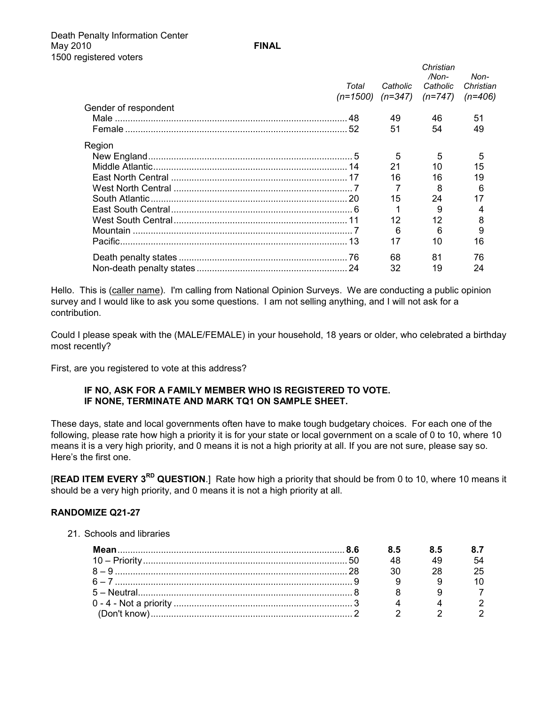|                      | Total<br>(n=1500) | Catholic<br>(n=347) | Christian<br>$/$ Non-<br>Catholic<br>$(n=747)$ | Non-<br>Christian<br>$(n=406)$ |
|----------------------|-------------------|---------------------|------------------------------------------------|--------------------------------|
| Gender of respondent |                   |                     |                                                |                                |
|                      |                   | 49                  | 46                                             | 51                             |
|                      |                   | 51                  | 54                                             | 49                             |
| Region               |                   |                     |                                                |                                |
|                      |                   | 5                   | 5                                              | 5                              |
|                      |                   | 21                  | 10                                             | 15                             |
|                      |                   | 16                  | 16                                             | 19                             |
|                      |                   |                     | 8                                              | 6                              |
|                      |                   | 15                  | 24                                             | 17                             |
|                      |                   |                     | 9                                              | 4                              |
|                      |                   | 12                  | 12                                             | 8                              |
|                      |                   | 6                   | 6                                              | 9                              |
|                      |                   | 17                  | 10                                             | 16                             |
|                      |                   | 68                  | 81                                             | 76                             |
|                      |                   | 32                  | 19                                             | 24                             |
|                      |                   |                     |                                                |                                |

Hello. This is (caller name). I'm calling from National Opinion Surveys. We are conducting a public opinion survey and I would like to ask you some questions. I am not selling anything, and I will not ask for a contribution.

Could I please speak with the (MALE/FEMALE) in your household, 18 years or older, who celebrated a birthday most recently?

First, are you registered to vote at this address?

### **IF NO, ASK FOR A FAMILY MEMBER WHO IS REGISTERED TO VOTE. IF NONE, TERMINATE AND MARK TQ1 ON SAMPLE SHEET.**

These days, state and local governments often have to make tough budgetary choices. For each one of the following, please rate how high a priority it is for your state or local government on a scale of 0 to 10, where 10 means it is a very high priority, and 0 means it is not a high priority at all. If you are not sure, please say so. Here's the first one.

[**READ ITEM EVERY 3RD QUESTION**.] Rate how high a priority that should be from 0 to 10, where 10 means it should be a very high priority, and 0 means it is not a high priority at all.

#### **RANDOMIZE Q21-27**

21. Schools and libraries

|  |        | $8.5$ $8.5$ | 8.7 |
|--|--------|-------------|-----|
|  |        |             | 54  |
|  | $30 -$ |             | 25  |
|  |        |             | 10  |
|  |        |             |     |
|  |        |             | 2   |
|  |        |             |     |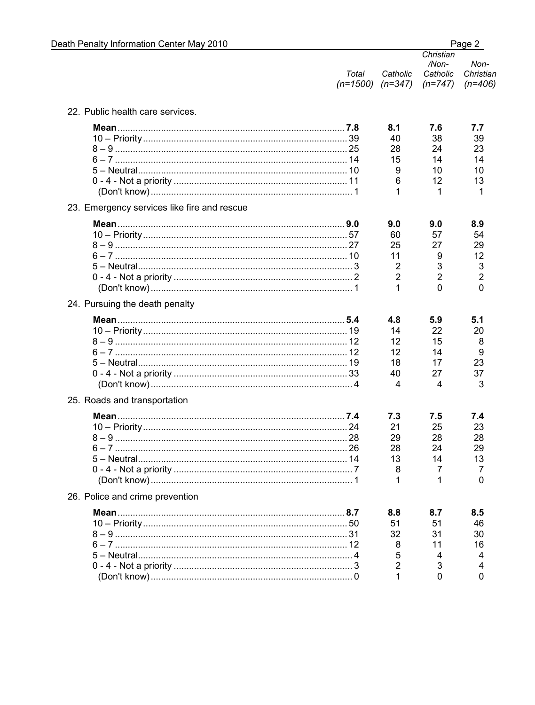| Death Penalty Information Center May 2010   |            | Page 2         |                |                |
|---------------------------------------------|------------|----------------|----------------|----------------|
|                                             |            |                | Christian      |                |
|                                             |            |                | /Non-          | Non-           |
|                                             | Total      | Catholic       | Catholic       | Christian      |
|                                             | $(n=1500)$ | $(n=347)$      | $(n=747)$      | $(n=406)$      |
| 22. Public health care services.            |            |                |                |                |
|                                             |            | 8.1            | 7.6            | 7.7            |
|                                             |            | 40             | 38             | 39             |
|                                             |            | 28             | 24             | 23             |
|                                             |            | 15             | 14             | 14             |
|                                             |            | 9              | 10             | 10             |
|                                             |            |                | 12             |                |
|                                             |            | 6              |                | 13             |
|                                             |            | 1              | 1              | 1              |
| 23. Emergency services like fire and rescue |            |                |                |                |
|                                             |            | 9.0            | 9.0            | 8.9            |
|                                             |            | 60             | 57             | 54             |
|                                             |            | 25             | 27             | 29             |
|                                             |            | 11             | 9              | 12             |
|                                             |            | $\overline{2}$ | 3              | 3              |
|                                             |            | $\overline{2}$ | $\overline{2}$ | $\overline{2}$ |
|                                             |            | 1              | $\Omega$       | 0              |
| 24. Pursuing the death penalty              |            |                |                |                |
|                                             |            | 4.8            | 5.9            | 5.1            |
|                                             |            | 14             | 22             | 20             |
|                                             |            | 12             | 15             | 8              |
|                                             |            | 12             | 14             | 9              |
|                                             |            | 18             | 17             | 23             |
|                                             |            | 40             | 27             | 37             |
|                                             |            | 4              | 4              | 3              |
| 25. Roads and transportation                |            |                |                |                |
|                                             |            | 7.3            | 7.5            | 7.4            |
|                                             |            | 21             | 25             | 23             |
|                                             |            | 29             | 28             | 28             |
|                                             |            | 28             | 24             | 29             |
|                                             |            | 13             | 14             | 13             |
|                                             |            | 8              | 7              |                |
|                                             |            |                | 1              | 0              |
| 26. Police and crime prevention             |            |                |                |                |
|                                             |            | 8.8            | 8.7            | 8.5            |
|                                             |            | 51             | 51             | 46             |
|                                             |            | 32             | 31             | 30             |
|                                             |            | 8              | 11             | 16             |
|                                             |            | 5              | 4              | 4              |
|                                             |            |                |                |                |
|                                             |            | 2              | 3              | 4              |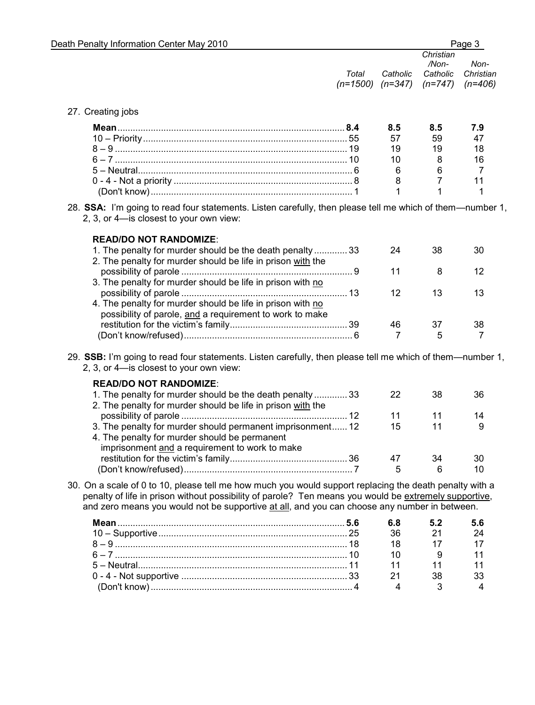|  | Christian                                |      |
|--|------------------------------------------|------|
|  | /Non-                                    | Non- |
|  | Total Catholic Catholic Christian        |      |
|  | $(n=1500)$ $(n=347)$ $(n=747)$ $(n=406)$ |      |

27. Creating jobs

28. **SSA:** I'm going to read four statements. Listen carefully, then please tell me which of them—number 1, 2, 3, or 4—is closest to your own view:

| <b>READ/DO NOT RANDOMIZE:</b>                               |     |    |     |
|-------------------------------------------------------------|-----|----|-----|
| 1. The penalty for murder should be the death penalty  33   | 24  | 38 | 30. |
| 2. The penalty for murder should be life in prison with the |     |    |     |
|                                                             | 11  | 8  |     |
| 3. The penalty for murder should be life in prison with no  |     |    |     |
|                                                             | 12. | 13 |     |
| 4. The penalty for murder should be life in prison with no  |     |    |     |
| possibility of parole, and a requirement to work to make    |     |    |     |
|                                                             | 46  | 37 | 38  |
|                                                             |     | 5  |     |

29. **SSB:** I'm going to read four statements. Listen carefully, then please tell me which of them—number 1, 2, 3, or 4—is closest to your own view:

| <b>READ/DO NOT RANDOMIZE:</b>                               |     |    |    |
|-------------------------------------------------------------|-----|----|----|
| 1. The penalty for murder should be the death penalty  33   | 22. | 38 | 36 |
| 2. The penalty for murder should be life in prison with the |     |    |    |
|                                                             |     | 11 | 14 |
| 3. The penalty for murder should permanent imprisonment 12  | 15  |    | 9  |
| 4. The penalty for murder should be permanent               |     |    |    |
| imprisonment and a requirement to work to make              |     |    |    |
|                                                             | 47  | 34 | 30 |
|                                                             | 5   | 6  | 10 |
|                                                             |     |    |    |

30. On a scale of 0 to 10, please tell me how much you would support replacing the death penalty with a penalty of life in prison without possibility of parole? Ten means you would be extremely supportive, and zero means you would not be supportive at all, and you can choose any number in between.

|  |    | 52 | 56.       |
|--|----|----|-----------|
|  | 36 | 21 | 24        |
|  |    |    |           |
|  |    |    |           |
|  |    |    |           |
|  |    |    |           |
|  |    |    | $\Lambda$ |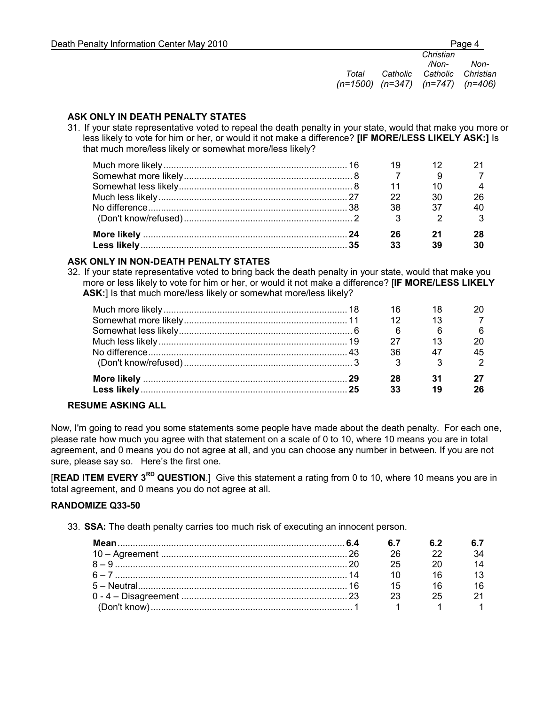|                                          |          | Christian |           |
|------------------------------------------|----------|-----------|-----------|
|                                          |          | /Non-     | Non-      |
| Total                                    | Catholic | Catholic  | Christian |
| $(n=1500)$ $(n=347)$ $(n=747)$ $(n=406)$ |          |           |           |

## **ASK ONLY IN DEATH PENALTY STATES**

31. If your state representative voted to repeal the death penalty in your state, would that make you more or less likely to vote for him or her, or would it not make a difference? **[IF MORE/LESS LIKELY ASK:]** Is that much more/less likely or somewhat more/less likely?

|  | 11 |     | 4  |
|--|----|-----|----|
|  | 22 | 30  | 26 |
|  | 38 | -37 |    |
|  |    |     | 3  |
|  | 26 | 21  |    |
|  | 33 |     |    |

#### **ASK ONLY IN NON-DEATH PENALTY STATES**

32. If your state representative voted to bring back the death penalty in your state, would that make you more or less likely to vote for him or her, or would it not make a difference? [**IF MORE/LESS LIKELY ASK:**] Is that much more/less likely or somewhat more/less likely?

|  | 16<br>12 <sup>°</sup> | -18<br>13 | $\overline{7}$ |
|--|-----------------------|-----------|----------------|
|  | 6                     | 6         |                |
|  | 27                    | 13        |                |
|  | 36                    | 47        | 45             |
|  |                       |           | $\overline{2}$ |
|  | 28                    | 31        |                |
|  | 33                    | 19        |                |

### **RESUME ASKING ALL**

Now, I'm going to read you some statements some people have made about the death penalty. For each one, please rate how much you agree with that statement on a scale of 0 to 10, where 10 means you are in total agreement, and 0 means you do not agree at all, and you can choose any number in between. If you are not sure, please say so. Here's the first one.

[**READ ITEM EVERY 3RD QUESTION**.] Give this statement a rating from 0 to 10, where 10 means you are in total agreement, and 0 means you do not agree at all.

#### **RANDOMIZE Q33-50**

33. **SSA:** The death penalty carries too much risk of executing an innocent person.

|  | 6.7 | 6.2 |    |
|--|-----|-----|----|
|  |     |     | 34 |
|  | 25  |     | 14 |
|  |     |     | 13 |
|  | 15  |     | 16 |
|  | 23  | つら  | 21 |
|  |     |     |    |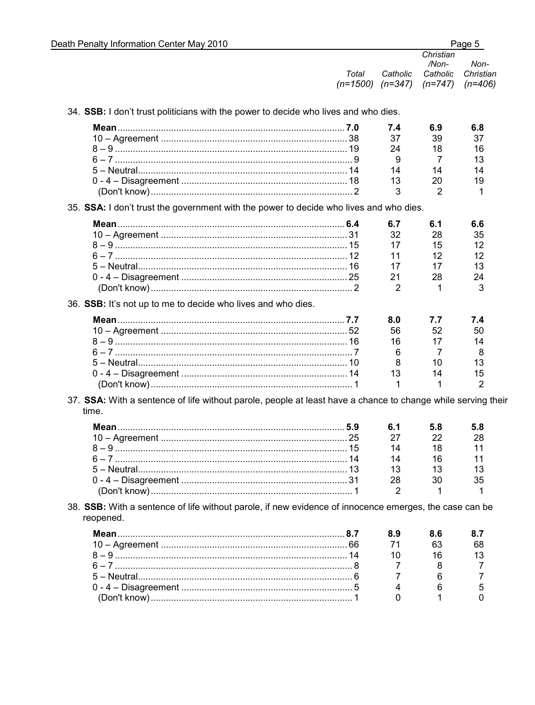| Death Penalty Information Center May 2010                                                                             |                      |                   | Page 5                         |                   |
|-----------------------------------------------------------------------------------------------------------------------|----------------------|-------------------|--------------------------------|-------------------|
|                                                                                                                       | Total                | Catholic          | Christian<br>/Non-<br>Catholic | Non-<br>Christian |
|                                                                                                                       | $(n=1500)$ $(n=347)$ |                   | $(n=747)$                      | $(n=406)$         |
| 34. SSB: I don't trust politicians with the power to decide who lives and who dies.                                   |                      |                   |                                |                   |
|                                                                                                                       |                      | 7.4               | 6.9                            | 6.8               |
|                                                                                                                       |                      | 37                | 39                             | 37                |
|                                                                                                                       |                      | 24                | 18                             | 16                |
|                                                                                                                       |                      | 9                 | $\overline{7}$                 | 13                |
|                                                                                                                       |                      | 14                | 14                             | 14                |
|                                                                                                                       |                      | 13                | 20                             | 19                |
|                                                                                                                       |                      | 3                 | 2                              | 1                 |
| 35. SSA: I don't trust the government with the power to decide who lives and who dies.                                |                      |                   |                                |                   |
|                                                                                                                       |                      | 6.7               | 6.1                            | 6.6               |
|                                                                                                                       |                      | 32                | 28                             | 35                |
|                                                                                                                       |                      | 17                | 15                             | 12                |
|                                                                                                                       |                      | 11                | $12 \overline{ }$              | 12                |
|                                                                                                                       |                      | 17                | 17                             | 13                |
|                                                                                                                       |                      | 21                | 28                             | 24                |
|                                                                                                                       |                      | 2                 | 1                              | 3                 |
| 36. SSB: It's not up to me to decide who lives and who dies.                                                          |                      |                   |                                |                   |
|                                                                                                                       |                      | 8.0               | 7.7                            | 7.4               |
|                                                                                                                       |                      | 56                | 52                             | 50                |
|                                                                                                                       |                      | 16                | 17                             | 14                |
|                                                                                                                       |                      | 6                 | $\overline{7}$                 | 8                 |
|                                                                                                                       |                      | 8                 | 10                             | 13                |
|                                                                                                                       |                      | 13                | 14                             | 15                |
|                                                                                                                       |                      | 1                 | 1                              | 2                 |
| 37. SSA: With a sentence of life without parole, people at least have a chance to change while serving their<br>time. |                      |                   |                                |                   |
|                                                                                                                       |                      | 6.1               | 5.8                            | 5.8               |
|                                                                                                                       |                      | 27                | 22                             | 28                |
|                                                                                                                       |                      | 14                | 18                             | 11                |
|                                                                                                                       |                      | 14                | 16                             | 11                |
|                                                                                                                       |                      | 13                | 13                             | 13                |
|                                                                                                                       |                      | 28                | 30                             | 35                |
|                                                                                                                       |                      | 2                 | 1                              | 1                 |
| 38. SSB: With a sentence of life without parole, if new evidence of innocence emerges, the case can be                |                      |                   |                                |                   |
| reopened.                                                                                                             |                      |                   |                                |                   |
|                                                                                                                       |                      | 8.9               | 8.6                            | 8.7               |
|                                                                                                                       |                      | 71                | 63                             | 68                |
|                                                                                                                       |                      | 10                | 16                             | 13                |
|                                                                                                                       |                      | 7                 | 8                              | 7                 |
|                                                                                                                       |                      | 7                 | 6                              | 7                 |
|                                                                                                                       |                      |                   |                                |                   |
|                                                                                                                       |                      | 4<br>$\mathbf{0}$ | 6                              | 5<br>0            |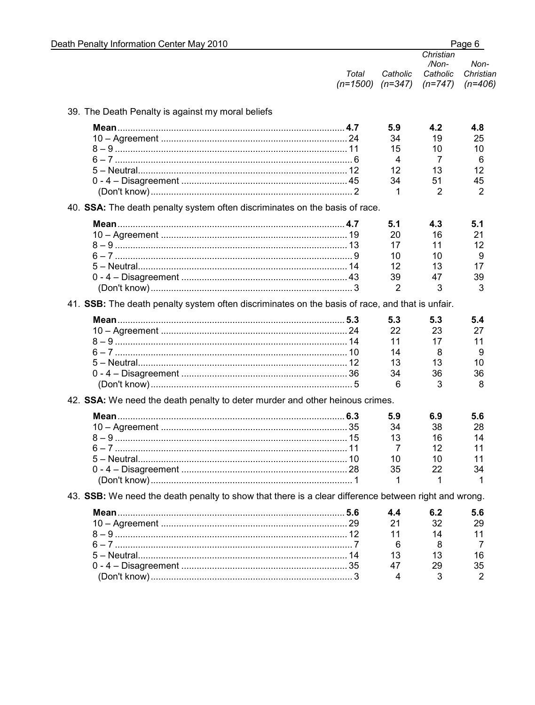| Death Penalty Information Center May 2010                                                            |                     |                       |                                             | Page 6                         |  |
|------------------------------------------------------------------------------------------------------|---------------------|-----------------------|---------------------------------------------|--------------------------------|--|
|                                                                                                      | Total<br>$(n=1500)$ | Catholic<br>$(n=347)$ | Christian<br>/Non-<br>Catholic<br>$(n=747)$ | Non-<br>Christian<br>$(n=406)$ |  |
|                                                                                                      |                     |                       |                                             |                                |  |
| 39. The Death Penalty is against my moral beliefs                                                    |                     |                       |                                             |                                |  |
|                                                                                                      |                     | 5.9                   | 4.2                                         | 4.8                            |  |
|                                                                                                      |                     | 34                    | 19                                          | 25                             |  |
|                                                                                                      |                     | 15                    | 10                                          | 10                             |  |
|                                                                                                      |                     | $\overline{4}$        | 7                                           | 6                              |  |
|                                                                                                      |                     | 12                    | 13                                          | 12                             |  |
|                                                                                                      |                     | 34                    | 51                                          | 45                             |  |
|                                                                                                      |                     | 1                     | 2                                           | $\overline{2}$                 |  |
| 40. SSA: The death penalty system often discriminates on the basis of race.                          |                     |                       |                                             |                                |  |
|                                                                                                      |                     | 5.1                   | 4.3                                         | 5.1                            |  |
|                                                                                                      |                     | 20                    | 16                                          | 21                             |  |
|                                                                                                      |                     | 17                    | 11                                          | 12                             |  |
|                                                                                                      |                     | 10                    | 10                                          | 9                              |  |
|                                                                                                      |                     | 12                    | 13                                          | 17                             |  |
|                                                                                                      |                     | 39                    | 47                                          | 39                             |  |
|                                                                                                      |                     | 2                     | 3                                           | 3                              |  |
| 41. SSB: The death penalty system often discriminates on the basis of race, and that is unfair.      |                     |                       |                                             |                                |  |
|                                                                                                      |                     | 5.3                   | 5.3                                         | 5.4                            |  |
|                                                                                                      |                     | 22                    | 23                                          | 27                             |  |
|                                                                                                      |                     | 11                    | 17                                          | 11                             |  |
|                                                                                                      |                     | 14                    | 8                                           | 9                              |  |
|                                                                                                      |                     | 13                    | 13                                          | 10                             |  |
|                                                                                                      |                     | 34                    | 36                                          | 36                             |  |
|                                                                                                      |                     | 6                     | 3                                           | 8                              |  |
| 42. SSA: We need the death penalty to deter murder and other heinous crimes.                         |                     |                       |                                             |                                |  |
|                                                                                                      |                     | 5.9                   | 6.9                                         | 5.6                            |  |
|                                                                                                      |                     | 34                    | 38                                          | 28                             |  |
|                                                                                                      |                     | 13                    | 16                                          | 14                             |  |
|                                                                                                      |                     | 7                     | 12                                          | 11                             |  |
|                                                                                                      |                     | 10                    | 10                                          | 11                             |  |
|                                                                                                      |                     | 35                    | 22                                          | 34                             |  |
|                                                                                                      |                     | 1                     | 1                                           | 1                              |  |
| 43. SSB: We need the death penalty to show that there is a clear difference between right and wrong. |                     |                       |                                             |                                |  |
|                                                                                                      |                     | 4.4                   | 6.2                                         | 5.6                            |  |
|                                                                                                      |                     | 21                    | 32                                          | 29                             |  |
|                                                                                                      |                     | 11                    | 14                                          | 11                             |  |
|                                                                                                      |                     | 6                     | 8                                           | 7                              |  |
|                                                                                                      |                     | 13                    | 13                                          | 16                             |  |
|                                                                                                      |                     | 47                    | 29                                          | 35                             |  |
|                                                                                                      |                     |                       |                                             |                                |  |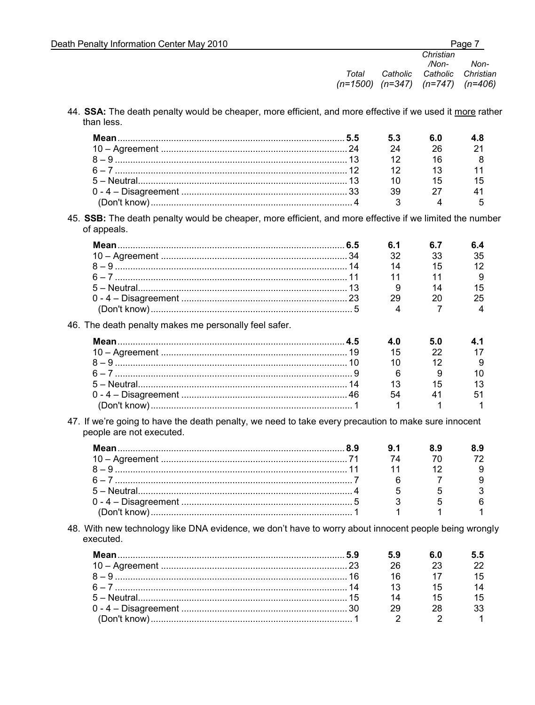| Death Penalty Information Center May 2010 |                                                                                                                                  |            |           |           | Page 7    |
|-------------------------------------------|----------------------------------------------------------------------------------------------------------------------------------|------------|-----------|-----------|-----------|
|                                           |                                                                                                                                  |            |           | Christian |           |
|                                           |                                                                                                                                  |            | Catholic  | /Non-     | Non-      |
|                                           |                                                                                                                                  | Total      |           | Catholic  | Christian |
|                                           |                                                                                                                                  | $(n=1500)$ | $(n=347)$ | $(n=747)$ | $(n=406)$ |
|                                           | 44. SSA: The death penalty would be cheaper, more efficient, and more effective if we used it more rather                        |            |           |           |           |
| than less.                                |                                                                                                                                  |            |           |           |           |
|                                           |                                                                                                                                  |            | 5.3       | 6.0       | 4.8       |
|                                           |                                                                                                                                  |            | 24        | 26        | 21        |
|                                           |                                                                                                                                  |            | 12        | 16        | 8         |
|                                           |                                                                                                                                  |            | 12        | 13        | 11        |
|                                           |                                                                                                                                  |            | 10        | 15        | 15        |
|                                           |                                                                                                                                  |            | 39        | 27        | 41        |
|                                           |                                                                                                                                  |            | 3         | 4         | 5         |
| of appeals.                               | 45. SSB: The death penalty would be cheaper, more efficient, and more effective if we limited the number                         |            |           |           |           |
|                                           |                                                                                                                                  |            | 6.1       | 6.7       | 6.4       |
|                                           |                                                                                                                                  |            | 32        | 33        | 35        |
|                                           |                                                                                                                                  |            | 14        | 15        | 12        |
|                                           |                                                                                                                                  |            | 11        | 11        | 9         |
|                                           |                                                                                                                                  |            | 9         | 14        | 15        |
|                                           |                                                                                                                                  |            | 29        | 20        | 25        |
|                                           |                                                                                                                                  |            | 4         | 7         | 4         |
|                                           | 46. The death penalty makes me personally feel safer.                                                                            |            |           |           |           |
|                                           |                                                                                                                                  |            | 4.0       | 5.0       | 4.1       |
|                                           |                                                                                                                                  |            | 15        | 22        | 17        |
|                                           |                                                                                                                                  |            | 10        | 12        | 9         |
|                                           |                                                                                                                                  |            | 6         | 9         | 10        |
|                                           |                                                                                                                                  |            | 13        | 15        | 13        |
|                                           |                                                                                                                                  |            | 54        | 41        | 51        |
|                                           |                                                                                                                                  |            | 1         | 1         | 1         |
|                                           | 47. If we're going to have the death penalty, we need to take every precaution to make sure innocent<br>people are not executed. |            |           |           |           |
|                                           |                                                                                                                                  |            | 9.1       | 8.9       | 8.9       |
|                                           |                                                                                                                                  |            | 74        | 70        | 72        |
|                                           |                                                                                                                                  |            | 11        | 12        | 9         |
|                                           |                                                                                                                                  |            |           | 7         |           |
|                                           |                                                                                                                                  |            | 6         |           | 9         |
|                                           |                                                                                                                                  |            | 5         | 5         | 3         |
|                                           |                                                                                                                                  |            | 3         | 5         | 6         |
|                                           |                                                                                                                                  |            | 1         | 1         | 1         |
| executed.                                 | 48. With new technology like DNA evidence, we don't have to worry about innocent people being wrongly                            |            |           |           |           |
|                                           |                                                                                                                                  |            | 5.9       | 6.0       | 5.5       |
|                                           |                                                                                                                                  |            | 26        | 23        | 22        |
|                                           |                                                                                                                                  |            | 16        | 17        | 15        |
|                                           |                                                                                                                                  |            |           |           |           |
|                                           |                                                                                                                                  |            | 13        | 15        | 14        |
|                                           |                                                                                                                                  |            | 14        | 15        | 15        |
|                                           |                                                                                                                                  |            | 29        | 28        | 33        |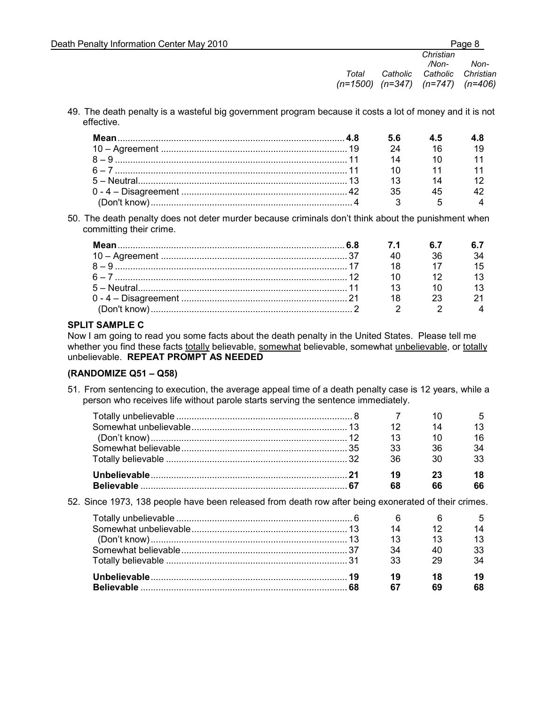| Death Penalty Information Center May 2010 | Page             |
|-------------------------------------------|------------------|
|                                           | <i>Christian</i> |

|                                          | <b>111111111111111</b>            |  |
|------------------------------------------|-----------------------------------|--|
|                                          | /Non- Non-                        |  |
|                                          | Total Catholic Catholic Christian |  |
| $(n=1500)$ $(n=347)$ $(n=747)$ $(n=406)$ |                                   |  |

49. The death penalty is a wasteful big government program because it costs a lot of money and it is not effective.

50. The death penalty does not deter murder because criminals don't think about the punishment when committing their crime.

|  | 36 |  |
|--|----|--|
|  |    |  |
|  |    |  |
|  |    |  |
|  |    |  |
|  |    |  |

#### **SPLIT SAMPLE C**

Now I am going to read you some facts about the death penalty in the United States. Please tell me whether you find these facts totally believable, somewhat believable, somewhat unbelievable, or totally unbelievable. **REPEAT PROMPT AS NEEDED**

#### **(RANDOMIZE Q51 – Q58)**

51. From sentencing to execution, the average appeal time of a death penalty case is 12 years, while a person who receives life without parole starts serving the sentence immediately.

|    | 10 | 5                                                                                                          |
|----|----|------------------------------------------------------------------------------------------------------------|
| 12 | 14 | 13                                                                                                         |
| 13 | 10 | 16                                                                                                         |
| 33 | 36 | 34                                                                                                         |
| 36 | 30 | 33                                                                                                         |
| 19 | 23 | 18                                                                                                         |
| 68 | 66 | 66                                                                                                         |
|    |    |                                                                                                            |
| 6  | 6  | 5                                                                                                          |
| 14 | 12 | 14                                                                                                         |
| 13 | 13 | 13                                                                                                         |
| 34 | 40 | 33                                                                                                         |
| 33 | 29 | 34                                                                                                         |
| 19 | 18 | 19                                                                                                         |
| 67 |    | 68                                                                                                         |
|    |    | 52. Since 1973, 138 people have been released from death row after being exonerated of their crimes.<br>69 |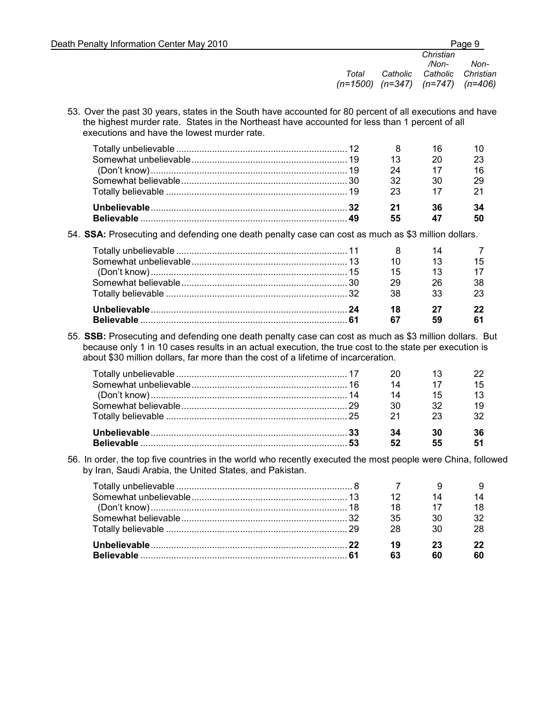| Death Penalty Information Center May 2010 | Page 9    |
|-------------------------------------------|-----------|
|                                           | ∩hristian |

|  | Christian                                |      |
|--|------------------------------------------|------|
|  | /Non-                                    | Non- |
|  | Total Catholic Catholic Christian        |      |
|  | $(n=1500)$ $(n=347)$ $(n=747)$ $(n=406)$ |      |

53. Over the past 30 years, states in the South have accounted for 80 percent of all executions and have the highest murder rate. States in the Northeast have accounted for less than 1 percent of all executions and have the lowest murder rate.

|  |     |    | 50 |
|--|-----|----|----|
|  |     |    | 34 |
|  | 23. | 17 | 21 |
|  |     | 30 | 29 |
|  | 24  | 17 | 16 |
|  |     | 20 | 23 |
|  |     |    |    |

54. **SSA:** Prosecuting and defending one death penalty case can cost as much as \$3 million dollars.

|  |          | 13        | 15       |
|--|----------|-----------|----------|
|  | 15       | 13        | 17       |
|  | 29<br>38 | 26<br>.33 | 38<br>23 |
|  |          | 27        | 22       |
|  |          | 59        | 61       |

55. **SSB:** Prosecuting and defending one death penalty case can cost as much as \$3 million dollars. But because only 1 in 10 cases results in an actual execution, the true cost to the state per execution is about \$30 million dollars, far more than the cost of a lifetime of incarceration.

|  | 14 | 17  | 15 |
|--|----|-----|----|
|  | 14 | 15  |    |
|  | 30 | 32  |    |
|  | 21 |     |    |
|  | 34 | 30. |    |
|  |    |     |    |

56. In order, the top five countries in the world who recently executed the most people were China, followed by Iran, Saudi Arabia, the United States, and Pakistan.

|  |    | 14 |  |
|--|----|----|--|
|  | 18 |    |  |
|  | 35 | 30 |  |
|  | 28 | 30 |  |
|  | 19 | 23 |  |
|  |    |    |  |
|  |    |    |  |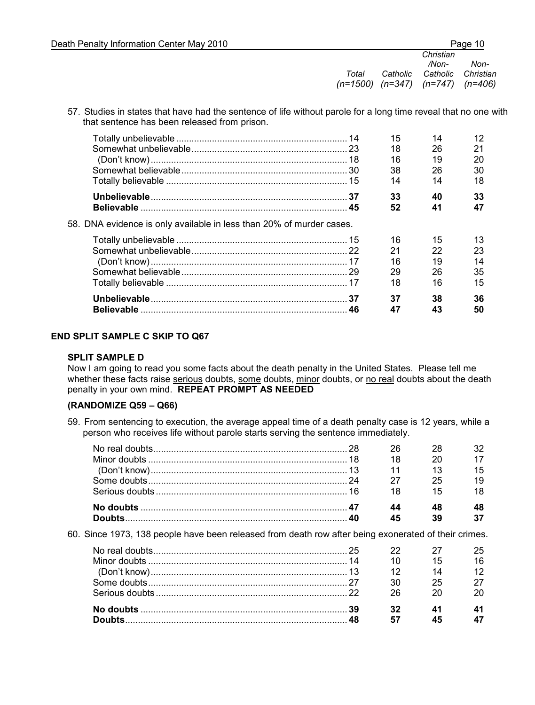| Death Penalty Information Center May 2010 |                                          |          | Page 10            |      |  |
|-------------------------------------------|------------------------------------------|----------|--------------------|------|--|
|                                           |                                          |          | Christian          |      |  |
|                                           |                                          |          | /Non-              | Non- |  |
|                                           | Total                                    | Catholic | Catholic Christian |      |  |
|                                           | $(n=1500)$ $(n=347)$ $(n=747)$ $(n=406)$ |          |                    |      |  |

57. Studies in states that have had the sentence of life without parole for a long time reveal that no one with that sentence has been released from prison.

|                                                                      |    | 15 | 14 | 12 |
|----------------------------------------------------------------------|----|----|----|----|
|                                                                      |    | 18 | 26 | 21 |
|                                                                      |    | 16 | 19 | 20 |
|                                                                      |    | 38 | 26 | 30 |
|                                                                      |    | 14 | 14 | 18 |
|                                                                      |    | 33 | 40 | 33 |
|                                                                      |    | 52 | 41 | 47 |
| 58. DNA evidence is only available in less than 20% of murder cases. |    |    |    |    |
|                                                                      |    | 16 | 15 | 13 |
|                                                                      |    | 21 | 22 | 23 |
|                                                                      |    | 16 | 19 | 14 |
|                                                                      |    | 29 | 26 | 35 |
|                                                                      |    | 18 | 16 | 15 |
|                                                                      |    | 37 | 38 | 36 |
|                                                                      | 46 | 47 | 43 | 50 |

#### **END SPLIT SAMPLE C SKIP TO Q67**

#### **SPLIT SAMPLE D**

Now I am going to read you some facts about the death penalty in the United States. Please tell me whether these facts raise serious doubts, some doubts, minor doubts, or no real doubts about the death penalty in your own mind. **REPEAT PROMPT AS NEEDED**

## **(RANDOMIZE Q59 – Q66)**

59. From sentencing to execution, the average appeal time of a death penalty case is 12 years, while a person who receives life without parole starts serving the sentence immediately.

|                                                                                                      | 18 |    |    |
|------------------------------------------------------------------------------------------------------|----|----|----|
|                                                                                                      | 11 | 13 | 15 |
|                                                                                                      | 27 | 25 | 19 |
|                                                                                                      | 18 | 15 | 18 |
|                                                                                                      | 44 |    |    |
|                                                                                                      | 45 |    |    |
| 60. Since 1973, 138 people have been released from death row after being exonerated of their crimes. |    |    |    |

|  |    |     | 16 |
|--|----|-----|----|
|  |    |     |    |
|  |    | 25  |    |
|  | 26 | 20. |    |
|  |    |     |    |
|  |    |     |    |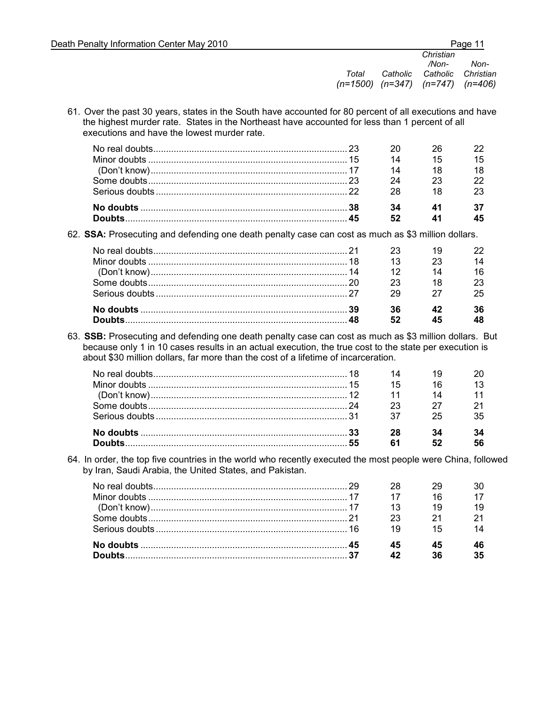| Death Penalty Information Center May 2010 | Page             |
|-------------------------------------------|------------------|
|                                           | <b>Chriction</b> |

|                                          | Christian                         |      |
|------------------------------------------|-----------------------------------|------|
|                                          | /Non-                             | Non- |
|                                          | Total Catholic Catholic Christian |      |
| $(n=1500)$ $(n=347)$ $(n=747)$ $(n=406)$ |                                   |      |

61. Over the past 30 years, states in the South have accounted for 80 percent of all executions and have the highest murder rate. States in the Northeast have accounted for less than 1 percent of all executions and have the lowest murder rate.

|  |  | 23 |
|--|--|----|
|  |  | 22 |
|  |  | 18 |
|  |  | 15 |
|  |  |    |

62. **SSA:** Prosecuting and defending one death penalty case can cost as much as \$3 million dollars.

|  | 20 | 27 | 23.<br>25 |
|--|----|----|-----------|
|  |    |    | 14<br>16  |
|  |    |    |           |

63. **SSB:** Prosecuting and defending one death penalty case can cost as much as \$3 million dollars. But because only 1 in 10 cases results in an actual execution, the true cost to the state per execution is about \$30 million dollars, far more than the cost of a lifetime of incarceration.

|  |     | 16 | 13 |
|--|-----|----|----|
|  |     |    |    |
|  |     |    |    |
|  | 37. | 25 |    |
|  | 28  |    |    |
|  |     |    |    |

64. In order, the top five countries in the world who recently executed the most people were China, followed by Iran, Saudi Arabia, the United States, and Pakistan.

|  | 16 |  |
|--|----|--|
|  | 19 |  |
|  |    |  |
|  |    |  |
|  |    |  |
|  |    |  |
|  |    |  |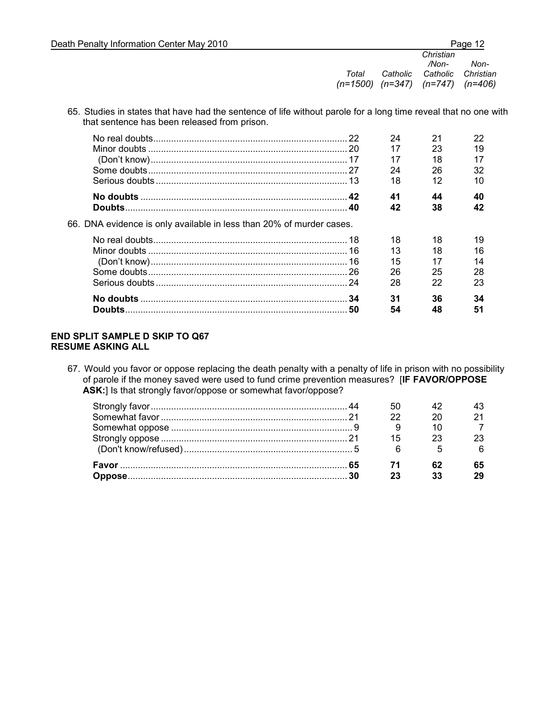| Death Penalty Information Center May 2010 |                                          |          | Page 12            |      |  |
|-------------------------------------------|------------------------------------------|----------|--------------------|------|--|
|                                           |                                          |          | Christian          |      |  |
|                                           |                                          |          | /Non-              | Non- |  |
|                                           | Total                                    | Catholic | Catholic Christian |      |  |
|                                           | $(n=1500)$ $(n=347)$ $(n=747)$ $(n=406)$ |          |                    |      |  |

65. Studies in states that have had the sentence of life without parole for a long time reveal that no one with that sentence has been released from prison.

|                                                                      | 22 | 24 | 21 | 22 |
|----------------------------------------------------------------------|----|----|----|----|
|                                                                      |    | 17 | 23 | 19 |
|                                                                      |    |    | 18 |    |
|                                                                      |    | 24 | 26 | 32 |
|                                                                      |    | 18 | 12 | 10 |
|                                                                      |    | 41 | 44 | 40 |
| Doubts.                                                              |    | 42 | 38 | 42 |
| 66. DNA evidence is only available in less than 20% of murder cases. |    |    |    |    |
|                                                                      |    | 18 | 18 | 19 |
| Minor doubts                                                         |    | 13 | 18 | 16 |
|                                                                      |    | 15 | 17 | 14 |
|                                                                      |    | 26 | 25 | 28 |
|                                                                      |    | 28 | 22 | 23 |
|                                                                      | 34 | 31 | 36 | 34 |
| Doubts.                                                              | 50 | 54 | 48 | 51 |

#### **END SPLIT SAMPLE D SKIP TO Q67 RESUME ASKING ALL**

67. Would you favor or oppose replacing the death penalty with a penalty of life in prison with no possibility of parole if the money saved were used to fund crime prevention measures? [**IF FAVOR/OPPOSE** ASK:] Is that strongly favor/oppose or somewhat favor/oppose?

|  | 22 |    |  |
|--|----|----|--|
|  |    |    |  |
|  |    | 23 |  |
|  |    |    |  |
|  |    |    |  |
|  |    |    |  |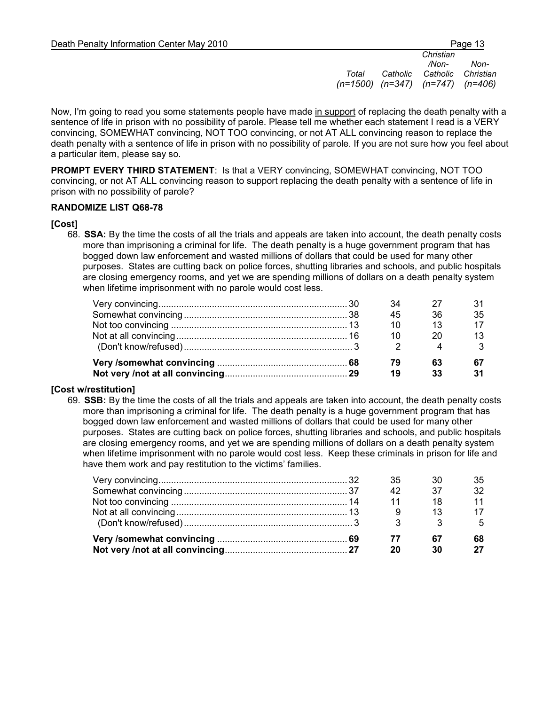|       |          | Christian                                |      |
|-------|----------|------------------------------------------|------|
|       |          | /Non-                                    | Non- |
| Total | Catholic | Catholic Christian                       |      |
|       |          | $(n=1500)$ $(n=347)$ $(n=747)$ $(n=406)$ |      |

Now, I'm going to read you some statements people have made in support of replacing the death penalty with a sentence of life in prison with no possibility of parole. Please tell me whether each statement I read is a VERY convincing, SOMEWHAT convincing, NOT TOO convincing, or not AT ALL convincing reason to replace the death penalty with a sentence of life in prison with no possibility of parole. If you are not sure how you feel about a particular item, please say so.

**PROMPT EVERY THIRD STATEMENT:** Is that a VERY convincing, SOMEWHAT convincing, NOT TOO convincing, or not AT ALL convincing reason to support replacing the death penalty with a sentence of life in prison with no possibility of parole?

#### **RANDOMIZE LIST Q68-78**

#### **[Cost]**

68. **SSA:** By the time the costs of all the trials and appeals are taken into account, the death penalty costs more than imprisoning a criminal for life. The death penalty is a huge government program that has bogged down law enforcement and wasted millions of dollars that could be used for many other purposes. States are cutting back on police forces, shutting libraries and schools, and public hospitals are closing emergency rooms, and yet we are spending millions of dollars on a death penalty system when lifetime imprisonment with no parole would cost less.

|  | 34 |    |    |
|--|----|----|----|
|  | 45 | 36 | 35 |
|  | 10 | 13 | 17 |
|  | 10 | 20 | 13 |
|  |    |    | 3  |
|  |    | 63 |    |
|  | 19 | 33 |    |

#### **[Cost w/restitution]**

69. **SSB:** By the time the costs of all the trials and appeals are taken into account, the death penalty costs more than imprisoning a criminal for life. The death penalty is a huge government program that has bogged down law enforcement and wasted millions of dollars that could be used for many other purposes. States are cutting back on police forces, shutting libraries and schools, and public hospitals are closing emergency rooms, and yet we are spending millions of dollars on a death penalty system when lifetime imprisonment with no parole would cost less. Keep these criminals in prison for life and have them work and pay restitution to the victims' families.

|  | 35 | 30 |    |
|--|----|----|----|
|  | 42 | 37 |    |
|  | 11 |    | 11 |
|  |    |    |    |
|  |    |    |    |
|  |    |    |    |
|  |    | 30 |    |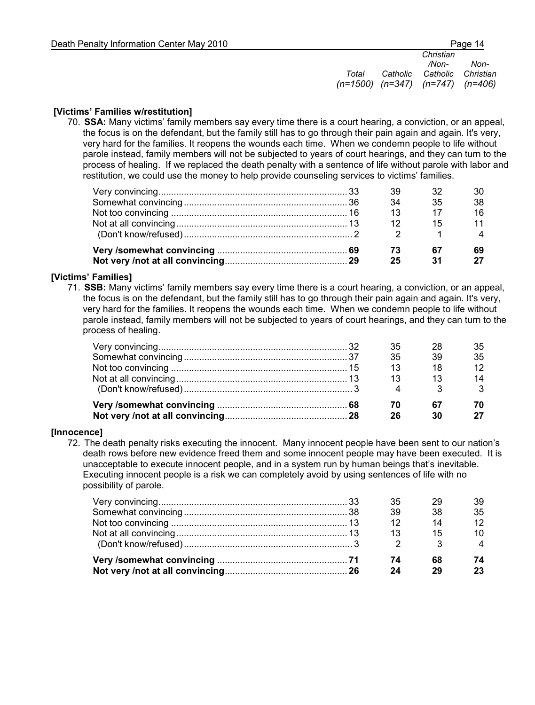|                                          |          | Christian |                    |
|------------------------------------------|----------|-----------|--------------------|
|                                          |          | /Non-     | Non-               |
| Total                                    | Catholic |           | Catholic Christian |
| $(n=1500)$ $(n=347)$ $(n=747)$ $(n=406)$ |          |           |                    |

#### **[Victims' Families w/restitution]**

70. **SSA:** Many victims' family members say every time there is a court hearing, a conviction, or an appeal, the focus is on the defendant, but the family still has to go through their pain again and again. It's very, very hard for the families. It reopens the wounds each time. When we condemn people to life without parole instead, family members will not be subjected to years of court hearings, and they can turn to the process of healing. If we replaced the death penalty with a sentence of life without parole with labor and restitution, we could use the money to help provide counseling services to victims' families.

|  | 73<br>25 | 67<br>31 | 69<br>27                 |
|--|----------|----------|--------------------------|
|  |          |          | $\boldsymbol{\varDelta}$ |
|  | 12       | 15       | 11                       |
|  | 13       | 17       | 16                       |
|  | 34       | 35       | 38                       |
|  | 39       | -32      | 30                       |

#### **[Victims' Families]**

71. **SSB:** Many victims' family members say every time there is a court hearing, a conviction, or an appeal, the focus is on the defendant, but the family still has to go through their pain again and again. It's very, very hard for the families. It reopens the wounds each time. When we condemn people to life without parole instead, family members will not be subjected to years of court hearings, and they can turn to the process of healing.

|  | 35 | 28 | 35 |
|--|----|----|----|
|  | 35 | 39 | 35 |
|  | 13 | 18 | 12 |
|  | 13 | 13 |    |
|  |    |    |    |
|  | 70 |    |    |
|  | 26 | 30 |    |

#### **[Innocence]**

72. The death penalty risks executing the innocent. Many innocent people have been sent to our nation's death rows before new evidence freed them and some innocent people may have been executed. It is unacceptable to execute innocent people, and in a system run by human beings that's inevitable. Executing innocent people is a risk we can completely avoid by using sentences of life with no possibility of parole.

|  | 74<br>24 | 68<br>29 | 74<br>23        |
|--|----------|----------|-----------------|
|  |          |          |                 |
|  |          |          | $\mathbf 4$     |
|  | 13       | 15       | 10              |
|  | 12       | 14       | 12 <sup>°</sup> |
|  | 39       | 38       | 35              |
|  | 35       | 29       | 39              |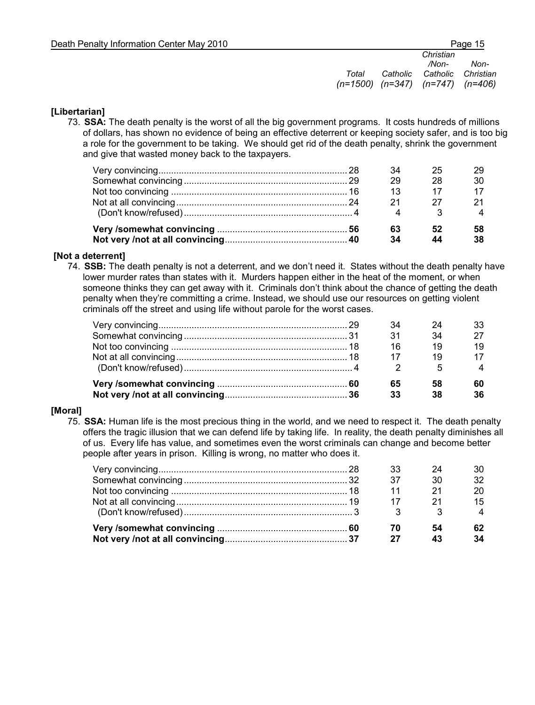|                                          | Christian                         |      |
|------------------------------------------|-----------------------------------|------|
|                                          | /Non-                             | Non- |
|                                          | Total Catholic Catholic Christian |      |
| $(n=1500)$ $(n=347)$ $(n=747)$ $(n=406)$ |                                   |      |

### **[Libertarian]**

73. **SSA:** The death penalty is the worst of all the big government programs. It costs hundreds of millions of dollars, has shown no evidence of being an effective deterrent or keeping society safer, and is too big a role for the government to be taking. We should get rid of the death penalty, shrink the government and give that wasted money back to the taxpayers.

|  | 63<br>34 | 52<br>44 | 38                 |
|--|----------|----------|--------------------|
|  |          |          | $\mathbf{\Lambda}$ |
|  |          |          |                    |
|  | 13       | 17       | 17                 |
|  | 29       | 28       | 30                 |
|  | 34       | 25       |                    |

#### **[Not a deterrent]**

74. **SSB:** The death penalty is not a deterrent, and we don't need it. States without the death penalty have lower murder rates than states with it. Murders happen either in the heat of the moment, or when someone thinks they can get away with it. Criminals don't think about the chance of getting the death penalty when they're committing a crime. Instead, we should use our resources on getting violent criminals off the street and using life without parole for the worst cases.

|  | 34 | 24 | 33                    |
|--|----|----|-----------------------|
|  | 31 | 34 | 27                    |
|  | 16 | 19 | 19                    |
|  |    | 19 | 17                    |
|  |    | ٠h | $\boldsymbol{\Delta}$ |
|  | 65 | 58 | 60                    |
|  | 33 | 38 | 36                    |

#### **[Moral]**

75. **SSA:** Human life is the most precious thing in the world, and we need to respect it. The death penalty offers the tragic illusion that we can defend life by taking life. In reality, the death penalty diminishes all of us. Every life has value, and sometimes even the worst criminals can change and become better people after years in prison. Killing is wrong, no matter who does it.

|  |    | 24 |    |
|--|----|----|----|
|  | 37 | 30 | 32 |
|  | 11 | 21 |    |
|  |    |    | 15 |
|  |    |    |    |
|  |    | 54 |    |
|  |    |    |    |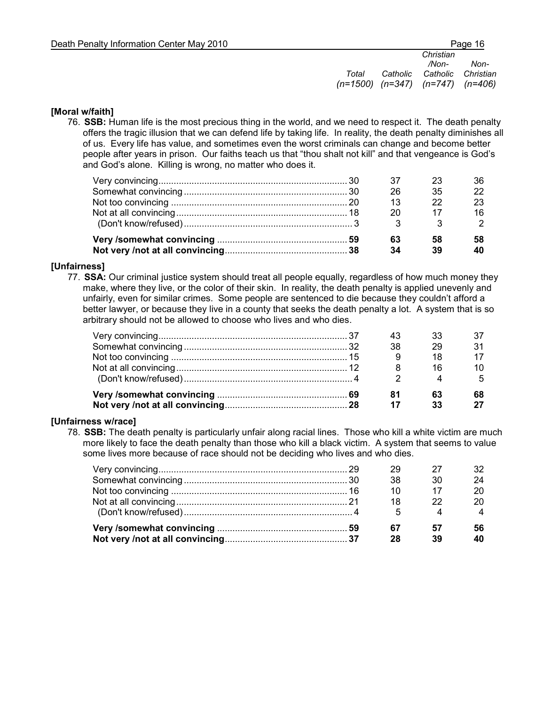|                                          | Christian                         |      |
|------------------------------------------|-----------------------------------|------|
|                                          | /Non-                             | Non- |
|                                          | Total Catholic Catholic Christian |      |
| $(n=1500)$ $(n=347)$ $(n=747)$ $(n=406)$ |                                   |      |

#### **[Moral w/faith]**

76. **SSB:** Human life is the most precious thing in the world, and we need to respect it. The death penalty offers the tragic illusion that we can defend life by taking life. In reality, the death penalty diminishes all of us. Every life has value, and sometimes even the worst criminals can change and become better people after years in prison. Our faiths teach us that "thou shalt not kill" and that vengeance is God's and God's alone. Killing is wrong, no matter who does it.

|  |     | 23 | 36            |
|--|-----|----|---------------|
|  | 26  | 35 | 22            |
|  |     | 22 | 23            |
|  | 20. | 17 | 16            |
|  |     |    | $\mathcal{P}$ |
|  | 63  | 58 | 58            |
|  | 34  | 39 | 40            |

#### **[Unfairness]**

77. **SSA:** Our criminal justice system should treat all people equally, regardless of how much money they make, where they live, or the color of their skin. In reality, the death penalty is applied unevenly and unfairly, even for similar crimes. Some people are sentenced to die because they couldn't afford a better lawyer, or because they live in a county that seeks the death penalty a lot. A system that is so arbitrary should not be allowed to choose who lives and who dies.

|  | 43 |    |    |
|--|----|----|----|
|  | 38 | 29 | 31 |
|  |    | 18 |    |
|  |    | 16 |    |
|  |    |    |    |
|  |    | 63 |    |
|  |    | 33 |    |

#### **[Unfairness w/race]**

78. **SSB:** The death penalty is particularly unfair along racial lines. Those who kill a white victim are much more likely to face the death penalty than those who kill a black victim. A system that seems to value some lives more because of race should not be deciding who lives and who dies.

|  | 38 | 30  | 24 |
|--|----|-----|----|
|  | 10 | 17  |    |
|  | 18 | 22. |    |
|  | 5  |     |    |
|  | 67 | 57  |    |
|  | 28 | 39  |    |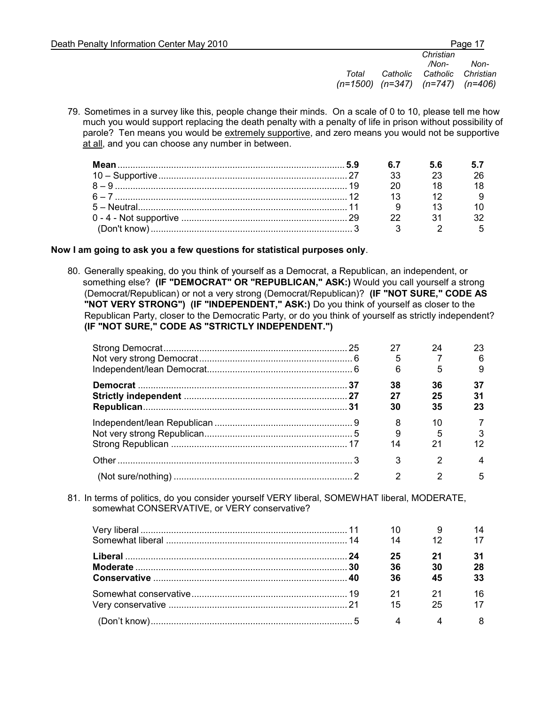|                                          | Christian               |           |
|------------------------------------------|-------------------------|-----------|
|                                          | /Non-                   | Non-      |
|                                          | Total Catholic Catholic | Christian |
| $(n=1500)$ $(n=347)$ $(n=747)$ $(n=406)$ |                         |           |

79. Sometimes in a survey like this, people change their minds. On a scale of 0 to 10, please tell me how much you would support replacing the death penalty with a penalty of life in prison without possibility of parole? Ten means you would be extremely supportive, and zero means you would not be supportive at all, and you can choose any number in between.

|  | 5.6 |  |
|--|-----|--|
|  |     |  |
|  |     |  |
|  |     |  |
|  |     |  |
|  |     |  |
|  |     |  |

#### **Now I am going to ask you a few questions for statistical purposes only**.

80. Generally speaking, do you think of yourself as a Democrat, a Republican, an independent, or something else? **(IF "DEMOCRAT" OR "REPUBLICAN," ASK:)** Would you call yourself a strong (Democrat/Republican) or not a very strong (Democrat/Republican)? **(IF "NOT SURE," CODE AS "NOT VERY STRONG") (IF "INDEPENDENT," ASK:)** Do you think of yourself as closer to the Republican Party, closer to the Democratic Party, or do you think of yourself as strictly independent? **(IF "NOT SURE," CODE AS "STRICTLY INDEPENDENT.")**

|  | 5<br>6         | 24<br>5        | 6<br>9   |
|--|----------------|----------------|----------|
|  | 38<br>27<br>30 | 36<br>25<br>35 | 31<br>23 |
|  | 8<br>9<br>14   | 10<br>5<br>21  | 3        |
|  | 3              |                |          |
|  | ◠              | ົ              | 5        |

81. In terms of politics, do you consider yourself VERY liberal, SOMEWHAT liberal, MODERATE, somewhat CONSERVATIVE, or VERY conservative?

|  | 14 | 12 <sup>2</sup> | 17 |
|--|----|-----------------|----|
|  | 25 | 21              | 31 |
|  | 36 | 30              | 28 |
|  | 36 | 45              | 33 |
|  | 21 | 21              | 16 |
|  | 15 | 25              | 17 |
|  |    |                 |    |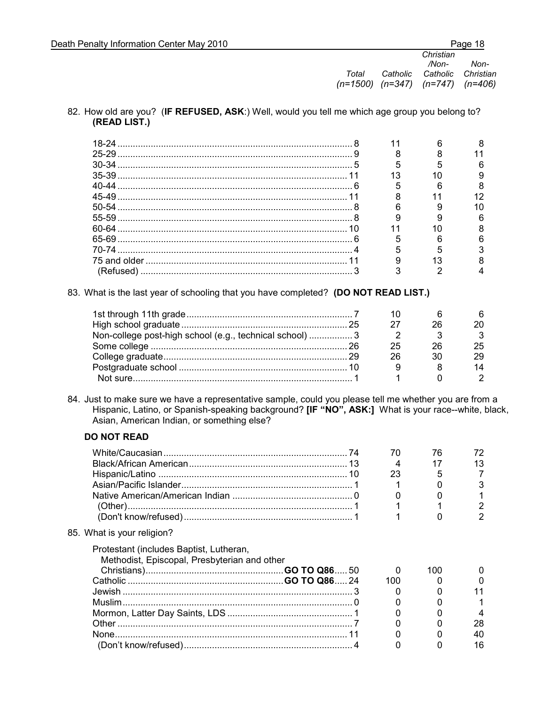| Death Penalty Information Center May 2010 |                                          |          |                    | Page 18   |
|-------------------------------------------|------------------------------------------|----------|--------------------|-----------|
|                                           |                                          |          | Christian<br>/Non- | Non-      |
|                                           | Total                                    | Catholic | Catholic           | Christian |
|                                           | $(n=1500)$ $(n=347)$ $(n=747)$ $(n=406)$ |          |                    |           |

#### 82. How old are you? (IF REFUSED, ASK:) Well, would you tell me which age group you belong to? (READ LIST.)

83. What is the last year of schooling that you have completed? (DO NOT READ LIST.)

| Non-college post-high school (e.g., technical school)  3 |    |    |    |
|----------------------------------------------------------|----|----|----|
|                                                          | 25 | 26 | 25 |
|                                                          | 26 | 30 | 29 |
|                                                          |    |    | 14 |
|                                                          |    |    |    |

84. Just to make sure we have a representative sample, could you please tell me whether you are from a<br>Hispanic, Latino, or Spanish-speaking background? [IF "NO", ASK:] What is your race--white, black, Asian, American Indian, or something else?

## **DO NOT READ**

|  |  | 13 |
|--|--|----|
|  |  |    |
|  |  | ર  |
|  |  |    |
|  |  |    |
|  |  |    |

#### 85. What is your religion?

| Protestant (includes Baptist, Lutheran,                                                                                                                                                                                        |  |
|--------------------------------------------------------------------------------------------------------------------------------------------------------------------------------------------------------------------------------|--|
| Martin and the Charles and and Charles and and the Charles of the Charles of the Charles of the Charles of the Charles of the Charles of the Charles of the Charles of the Charles of the Charles of the Charles of the Charle |  |

| Methodist, Episcopal, Presbyterian and other |     |  |
|----------------------------------------------|-----|--|
|                                              |     |  |
|                                              | 100 |  |
|                                              |     |  |
|                                              |     |  |
|                                              |     |  |
|                                              |     |  |
|                                              |     |  |
|                                              |     |  |
|                                              |     |  |